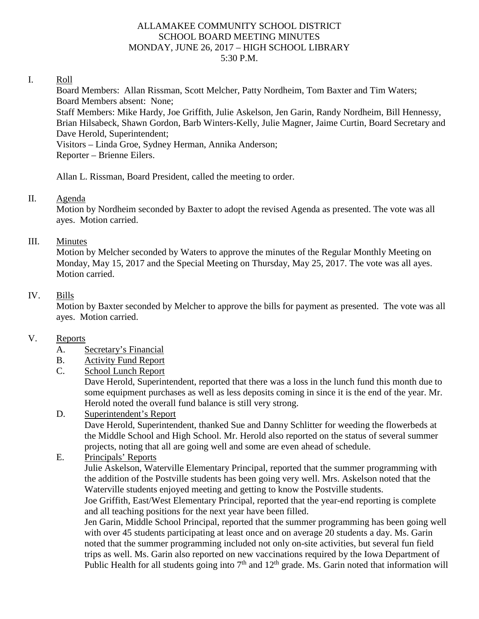#### ALLAMAKEE COMMUNITY SCHOOL DISTRICT SCHOOL BOARD MEETING MINUTES MONDAY, JUNE 26, 2017 – HIGH SCHOOL LIBRARY 5:30 P.M.

#### I. Roll

Board Members: Allan Rissman, Scott Melcher, Patty Nordheim, Tom Baxter and Tim Waters; Board Members absent: None;

Staff Members: Mike Hardy, Joe Griffith, Julie Askelson, Jen Garin, Randy Nordheim, Bill Hennessy, Brian Hilsabeck, Shawn Gordon, Barb Winters-Kelly, Julie Magner, Jaime Curtin, Board Secretary and Dave Herold, Superintendent;

Visitors – Linda Groe, Sydney Herman, Annika Anderson; Reporter – Brienne Eilers.

Allan L. Rissman, Board President, called the meeting to order.

#### II. Agenda

Motion by Nordheim seconded by Baxter to adopt the revised Agenda as presented. The vote was all ayes. Motion carried.

#### III. Minutes

Motion by Melcher seconded by Waters to approve the minutes of the Regular Monthly Meeting on Monday, May 15, 2017 and the Special Meeting on Thursday, May 25, 2017. The vote was all ayes. Motion carried.

#### IV. Bills

Motion by Baxter seconded by Melcher to approve the bills for payment as presented. The vote was all ayes. Motion carried.

## V. Reports

- A. Secretary's Financial
- B. Activity Fund Report
- C. School Lunch Report

Dave Herold, Superintendent, reported that there was a loss in the lunch fund this month due to some equipment purchases as well as less deposits coming in since it is the end of the year. Mr. Herold noted the overall fund balance is still very strong.

## D. Superintendent's Report

Dave Herold, Superintendent, thanked Sue and Danny Schlitter for weeding the flowerbeds at the Middle School and High School. Mr. Herold also reported on the status of several summer projects, noting that all are going well and some are even ahead of schedule.

## E. Principals' Reports

Julie Askelson, Waterville Elementary Principal, reported that the summer programming with the addition of the Postville students has been going very well. Mrs. Askelson noted that the Waterville students enjoyed meeting and getting to know the Postville students.

Joe Griffith, East/West Elementary Principal, reported that the year-end reporting is complete and all teaching positions for the next year have been filled.

Jen Garin, Middle School Principal, reported that the summer programming has been going well with over 45 students participating at least once and on average 20 students a day. Ms. Garin noted that the summer programming included not only on-site activities, but several fun field trips as well. Ms. Garin also reported on new vaccinations required by the Iowa Department of Public Health for all students going into  $7<sup>th</sup>$  and  $12<sup>th</sup>$  grade. Ms. Garin noted that information will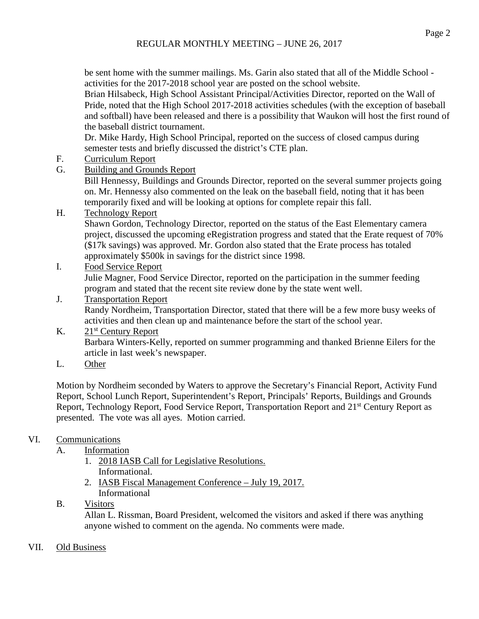be sent home with the summer mailings. Ms. Garin also stated that all of the Middle School activities for the 2017-2018 school year are posted on the school website.

Brian Hilsabeck, High School Assistant Principal/Activities Director, reported on the Wall of Pride, noted that the High School 2017-2018 activities schedules (with the exception of baseball and softball) have been released and there is a possibility that Waukon will host the first round of the baseball district tournament.

Dr. Mike Hardy, High School Principal, reported on the success of closed campus during semester tests and briefly discussed the district's CTE plan.

- F. Curriculum Report
- G. Building and Grounds Report

Bill Hennessy, Buildings and Grounds Director, reported on the several summer projects going on. Mr. Hennessy also commented on the leak on the baseball field, noting that it has been temporarily fixed and will be looking at options for complete repair this fall.

# H. Technology Report

Shawn Gordon, Technology Director, reported on the status of the East Elementary camera project, discussed the upcoming eRegistration progress and stated that the Erate request of 70% (\$17k savings) was approved. Mr. Gordon also stated that the Erate process has totaled approximately \$500k in savings for the district since 1998.

### I. Food Service Report Julie Magner, Food Service Director, reported on the participation in the summer feeding program and stated that the recent site review done by the state went well.

### J. Transportation Report Randy Nordheim, Transportation Director, stated that there will be a few more busy weeks of activities and then clean up and maintenance before the start of the school year.

# K.  $21<sup>st</sup>$  Century Report Barbara Winters-Kelly, reported on summer programming and thanked Brienne Eilers for the article in last week's newspaper.

L. Other

Motion by Nordheim seconded by Waters to approve the Secretary's Financial Report, Activity Fund Report, School Lunch Report, Superintendent's Report, Principals' Reports, Buildings and Grounds Report, Technology Report, Food Service Report, Transportation Report and 21st Century Report as presented. The vote was all ayes. Motion carried.

# VI. Communications

- A. Information
	- 1. 2018 IASB Call for Legislative Resolutions. Informational.
	- 2. IASB Fiscal Management Conference July 19, 2017. Informational

# B. Visitors

Allan L. Rissman, Board President, welcomed the visitors and asked if there was anything anyone wished to comment on the agenda. No comments were made.

# VII. Old Business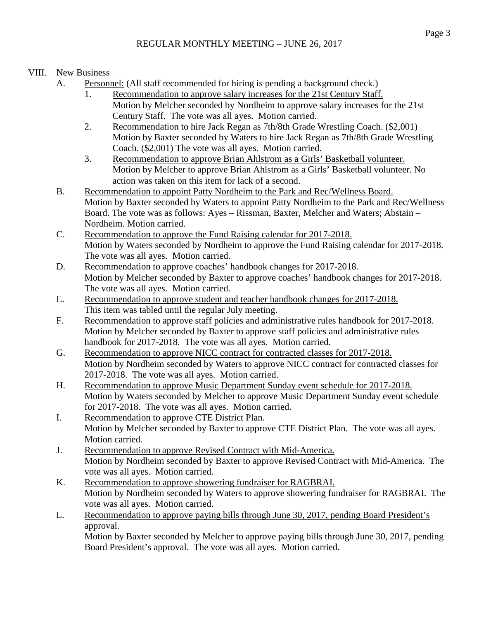# VIII. New Business

- A. Personnel: (All staff recommended for hiring is pending a background check.)
	- 1. Recommendation to approve salary increases for the 21st Century Staff. Motion by Melcher seconded by Nordheim to approve salary increases for the 21st Century Staff. The vote was all ayes. Motion carried.
	- 2. Recommendation to hire Jack Regan as 7th/8th Grade Wrestling Coach. (\$2,001) Motion by Baxter seconded by Waters to hire Jack Regan as 7th/8th Grade Wrestling Coach. (\$2,001) The vote was all ayes. Motion carried.
	- 3. Recommendation to approve Brian Ahlstrom as a Girls' Basketball volunteer. Motion by Melcher to approve Brian Ahlstrom as a Girls' Basketball volunteer. No action was taken on this item for lack of a second.
- B. Recommendation to appoint Patty Nordheim to the Park and Rec/Wellness Board. Motion by Baxter seconded by Waters to appoint Patty Nordheim to the Park and Rec/Wellness Board. The vote was as follows: Ayes – Rissman, Baxter, Melcher and Waters; Abstain – Nordheim. Motion carried.
- C. Recommendation to approve the Fund Raising calendar for 2017-2018. Motion by Waters seconded by Nordheim to approve the Fund Raising calendar for 2017-2018. The vote was all ayes. Motion carried.
- D. Recommendation to approve coaches' handbook changes for 2017-2018. Motion by Melcher seconded by Baxter to approve coaches' handbook changes for 2017-2018. The vote was all ayes. Motion carried.
- E. Recommendation to approve student and teacher handbook changes for 2017-2018. This item was tabled until the regular July meeting.
- F. Recommendation to approve staff policies and administrative rules handbook for 2017-2018. Motion by Melcher seconded by Baxter to approve staff policies and administrative rules handbook for 2017-2018. The vote was all ayes. Motion carried.
- G. Recommendation to approve NICC contract for contracted classes for 2017-2018. Motion by Nordheim seconded by Waters to approve NICC contract for contracted classes for 2017-2018. The vote was all ayes. Motion carried.
- H. Recommendation to approve Music Department Sunday event schedule for 2017-2018. Motion by Waters seconded by Melcher to approve Music Department Sunday event schedule for 2017-2018. The vote was all ayes. Motion carried.
- I. Recommendation to approve CTE District Plan. Motion by Melcher seconded by Baxter to approve CTE District Plan. The vote was all ayes. Motion carried.
- J. Recommendation to approve Revised Contract with Mid-America. Motion by Nordheim seconded by Baxter to approve Revised Contract with Mid-America. The vote was all ayes. Motion carried.
- K. Recommendation to approve showering fundraiser for RAGBRAI. Motion by Nordheim seconded by Waters to approve showering fundraiser for RAGBRAI. The vote was all ayes. Motion carried.
- L. Recommendation to approve paying bills through June 30, 2017, pending Board President's approval.

Motion by Baxter seconded by Melcher to approve paying bills through June 30, 2017, pending Board President's approval. The vote was all ayes. Motion carried.